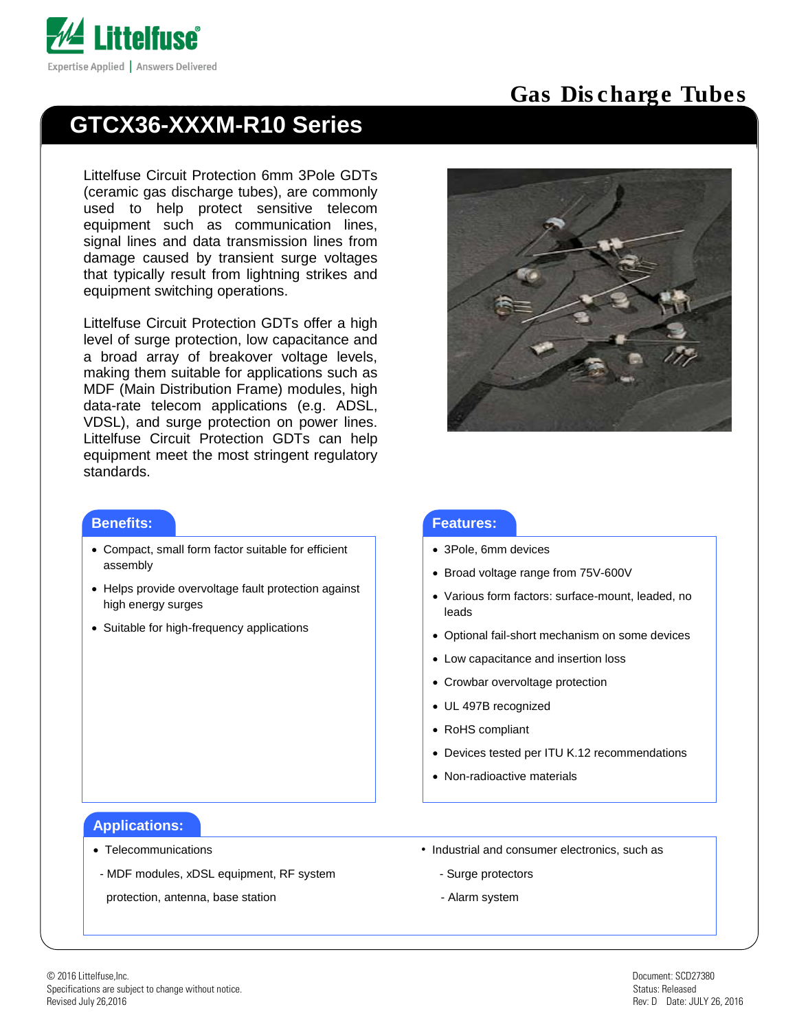

# **GTCX36-XXXM-R10 Series**

Littelfuse Circuit Protection 6mm 3Pole GDTs (ceramic gas discharge tubes), are commonly used to help protect sensitive telecom equipment such as communication lines, signal lines and data transmission lines from damage caused by transient surge voltages that typically result from lightning strikes and equipment switching operations.

Littelfuse Circuit Protection GDTs offer a high level of surge protection, low capacitance and a broad array of breakover voltage levels, making them suitable for applications such as MDF (Main Distribution Frame) modules, high data-rate telecom applications (e.g. ADSL, VDSL), and surge protection on power lines. Littelfuse Circuit Protection GDTs can help equipment meet the most stringent regulatory standards.

# Gas Discharge Tubes



#### **Benefits:**

- Compact, small form factor suitable for efficient assembly
- Helps provide overvoltage fault protection against high energy surges
- Suitable for high-frequency applications

#### **Features:**

- 3Pole, 6mm devices
- Broad voltage range from 75V-600V
- Various form factors: surface-mount, leaded, no leads
- Optional fail-short mechanism on some devices
- Low capacitance and insertion loss
- Crowbar overvoltage protection
- UL 497B recognized
- RoHS compliant

 $\overline{a}$ 

- Devices tested per ITU K.12 recommendations
- Non-radioactive materials

#### **Applications:**

- 
- MDF modules, xDSL equipment, RF system Surge protectors

protection, antenna, base station example and the system of Alarm system

- Telecommunications Industrial and consumer electronics, such as
	-
	-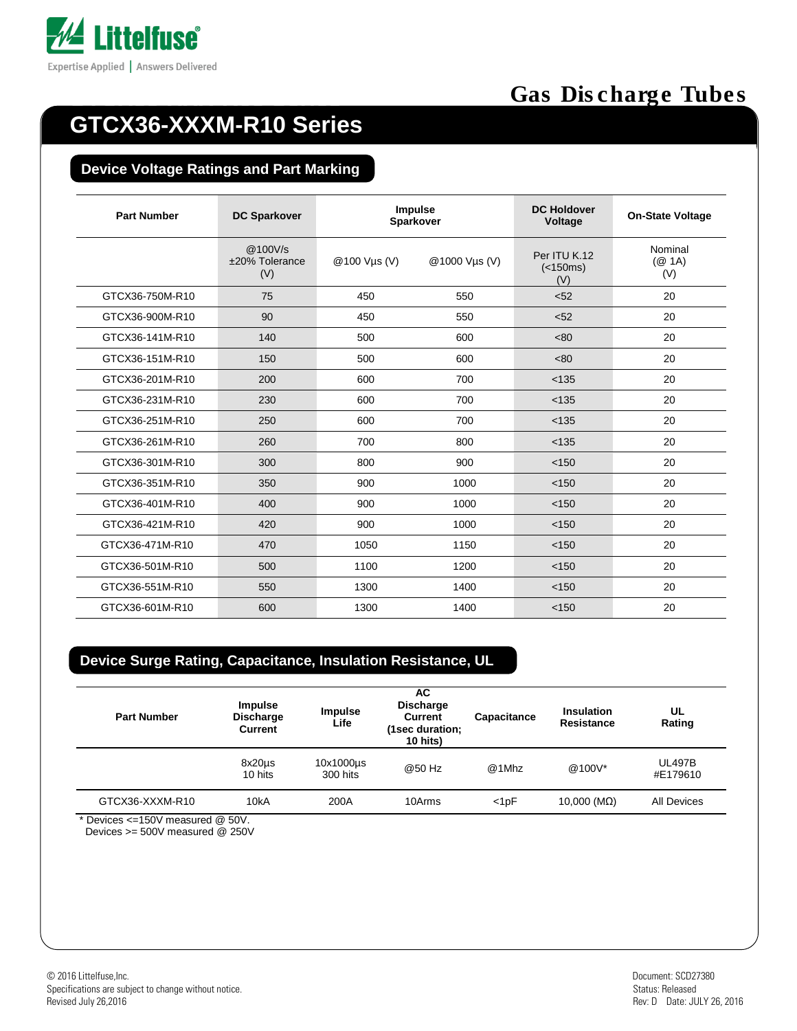

# **GTCX36-XXXM-R10 Series**

#### **Device Voltage Ratings and Part Marking**

| <b>Part Number</b> | <b>DC Sparkover</b>              | <b>Impulse</b><br>Sparkover |               | <b>DC Holdover</b><br>Voltage   | <b>On-State Voltage</b>  |
|--------------------|----------------------------------|-----------------------------|---------------|---------------------------------|--------------------------|
|                    | @100V/s<br>±20% Tolerance<br>(V) | @100 Vus (V)                | @1000 Vµs (V) | Per ITU K.12<br>(<150ms)<br>(V) | Nominal<br>(Q 1A)<br>(V) |
| GTCX36-750M-R10    | 75                               | 450                         | 550           | < 52                            | 20                       |
| GTCX36-900M-R10    | 90                               | 450                         | 550           | < 52                            | 20                       |
| GTCX36-141M-R10    | 140                              | 500                         | 600           | < 80                            | 20                       |
| GTCX36-151M-R10    | 150                              | 500                         | 600           | < 80                            | 20                       |
| GTCX36-201M-R10    | 200                              | 600                         | 700           | < 135                           | 20                       |
| GTCX36-231M-R10    | 230                              | 600                         | 700           | < 135                           | 20                       |
| GTCX36-251M-R10    | 250                              | 600                         | 700           | < 135                           | 20                       |
| GTCX36-261M-R10    | 260                              | 700                         | 800           | < 135                           | 20                       |
| GTCX36-301M-R10    | 300                              | 800                         | 900           | < 150                           | 20                       |
| GTCX36-351M-R10    | 350                              | 900                         | 1000          | < 150                           | 20                       |
| GTCX36-401M-R10    | 400                              | 900                         | 1000          | < 150                           | 20                       |
| GTCX36-421M-R10    | 420                              | 900                         | 1000          | < 150                           | 20                       |
| GTCX36-471M-R10    | 470                              | 1050                        | 1150          | < 150                           | 20                       |
| GTCX36-501M-R10    | 500                              | 1100                        | 1200          | < 150                           | 20                       |
| GTCX36-551M-R10    | 550                              | 1300                        | 1400          | < 150                           | 20                       |
| GTCX36-601M-R10    | 600                              | 1300                        | 1400          | < 150                           | 20                       |

#### **Device Surge Rating, Capacitance, Insulation Resistance, UL**

| <b>Part Number</b> | <b>Impulse</b><br><b>Discharge</b><br><b>Current</b> | <b>Impulse</b><br>Life | AC.<br><b>Discharge</b><br><b>Current</b><br>(1sec duration;<br>10 hits) | Capacitance | <b>Insulation</b><br>Resistance | UL<br>Rating              |
|--------------------|------------------------------------------------------|------------------------|--------------------------------------------------------------------------|-------------|---------------------------------|---------------------------|
|                    | $8x20\mu s$<br>10 hits                               | 10x1000us<br>300 hits  | @50 Hz                                                                   | @1Mhz       | @100V*                          | <b>UL497B</b><br>#E179610 |
| GTCX36-XXXM-R10    | 10kA                                                 | 200A                   | 10Arms                                                                   | $<$ 1pF     | 10,000 (MΩ)                     | All Devices               |

Devices >= 500V measured @ 250V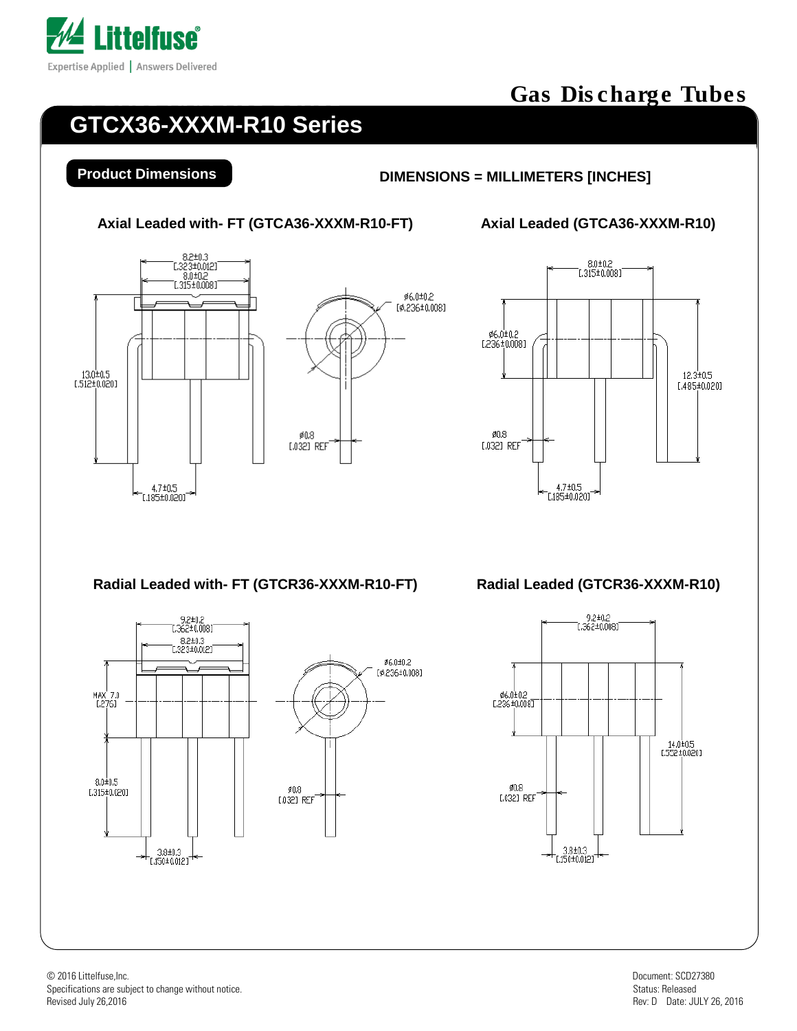

# **GTCX36-XXXM-R10 Series**

#### **Product Dimensions DIMENSIONS = MILLIMETERS [INCHES]**

**Axial Leaded with- FT (GTCA36-XXXM-R10-FT) Axial Leaded (GTCA36-XXXM-R10)**





**Radial Leaded with- FT (GTCR36-XXXM-R10-FT) Radial Leaded (GTCR36-XXXM-R10)**



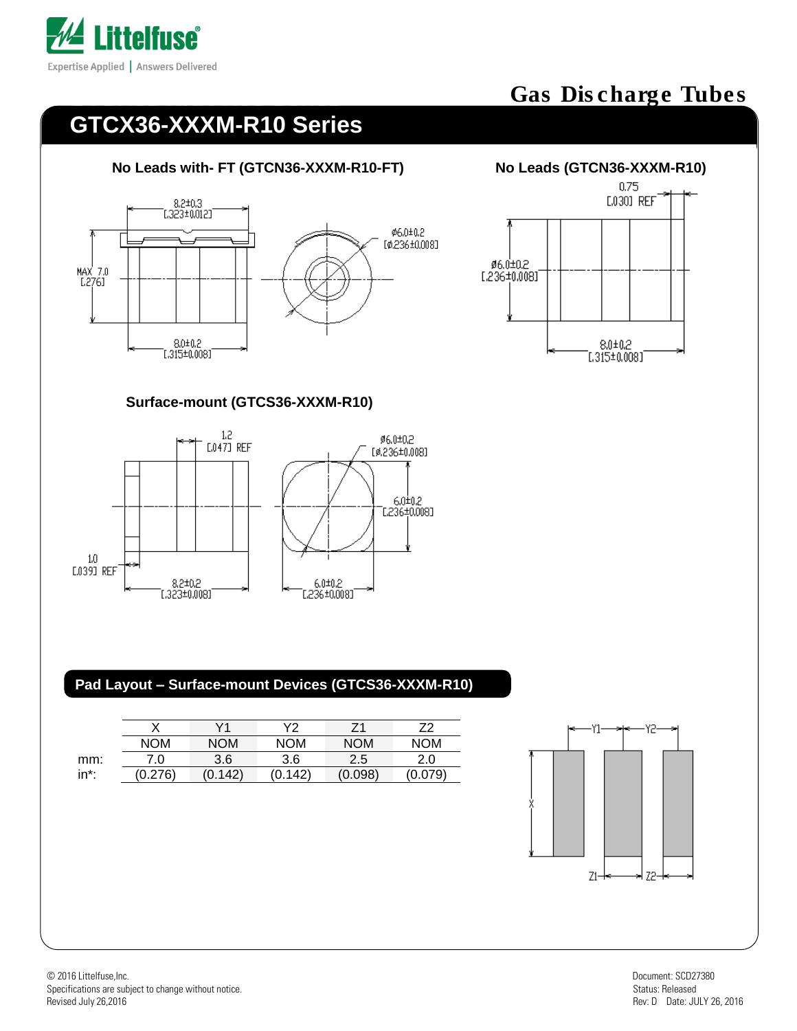

# **GTCX36-XXXM-R10 Series**

#### **No Leads with- FT (GTCN36-XXXM-R10-FT) No Leads (GTCN36-XXXM-R10)**





#### **Surface-mount (GTCS36-XXXM-R10)**



#### **Pad Layout – Surface-mount Devices (GTCS36-XXXM-R10)**

|      |            | V1         | V2         | 71         | 72         |
|------|------------|------------|------------|------------|------------|
|      | <b>NOM</b> | <b>NOM</b> | <b>NOM</b> | <b>NOM</b> | <b>NOM</b> |
| mm:  | 7.0        | 3.6        | 3.6        | 2.5        | 2.0        |
| in*: | (0.276)    | (0.142)    | (0.142)    | (0.098)    | (0.079)    |
|      |            |            |            |            |            |

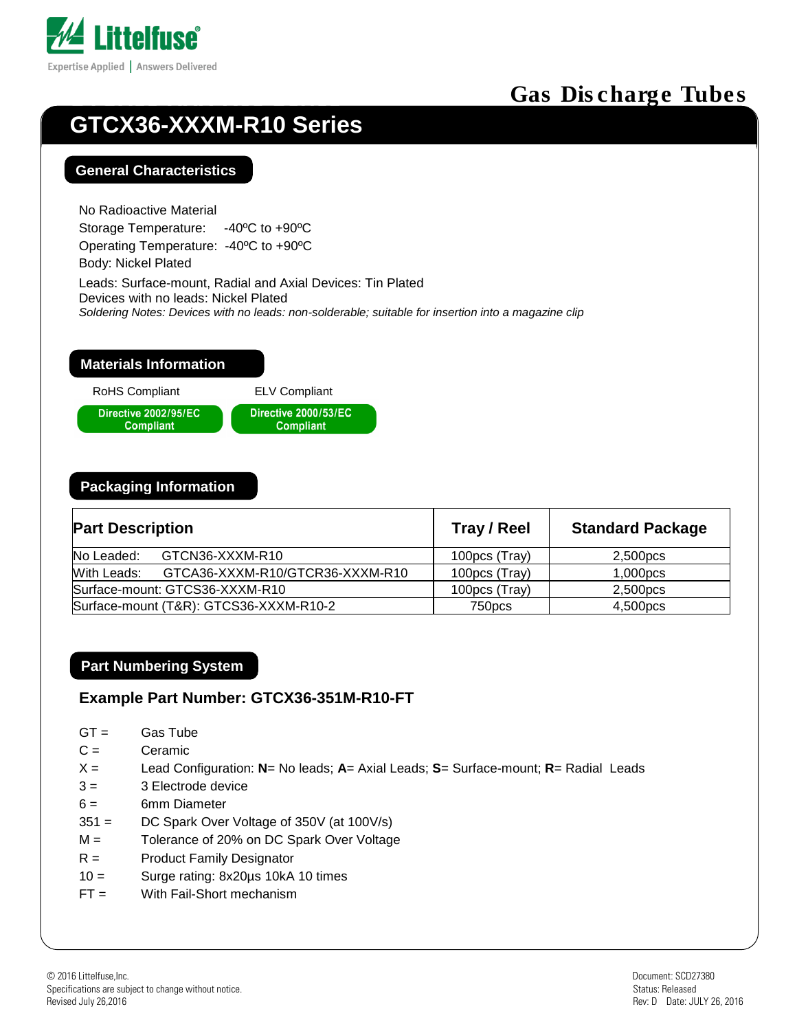

# **GTCX36-XXXM-R10 Series**

#### **General Characteristics**

No Radioactive Material Storage Temperature: -40ºC to +90ºC Operating Temperature: -40ºC to +90ºC Body: Nickel Plated

Leads: Surface-mount, Radial and Axial Devices: Tin Plated Devices with no leads: Nickel Plated *Soldering Notes: Devices with no leads: non-solderable; suitable for insertion into a magazine clip*

#### **Materials Information**

RoHS Compliant ELV Compliant



#### **Packaging Information**

| <b>Part Description</b>                |                                 | Tray / Reel   | <b>Standard Package</b> |  |
|----------------------------------------|---------------------------------|---------------|-------------------------|--|
| No Leaded:                             | GTCN36-XXXM-R10                 | 100pcs (Tray) | 2,500pcs                |  |
| With Leads:                            | GTCA36-XXXM-R10/GTCR36-XXXM-R10 | 100pcs (Tray) | 1,000pcs                |  |
|                                        | Surface-mount: GTCS36-XXXM-R10  | 100pcs (Tray) | 2,500pcs                |  |
| Surface-mount (T&R): GTCS36-XXXM-R10-2 |                                 | 750pcs        | 4,500pcs                |  |

#### **Part Numbering System**

#### **Example Part Number: GTCX36-351M-R10-FT**

- $GT = Gas$  Tube
- C = Ceramic
- X = Lead Configuration: **N**= No leads; **A**= Axial Leads; **S**= Surface-mount; **R**= Radial Leads
- $3 = 3$  Electrode device
- 6 = 6mm Diameter
- 351 = DC Spark Over Voltage of 350V (at 100V/s)
- M = Tolerance of 20% on DC Spark Over Voltage
- R = Product Family Designator
- 10 = Surge rating: 8x20µs 10kA 10 times
- FT = With Fail-Short mechanism